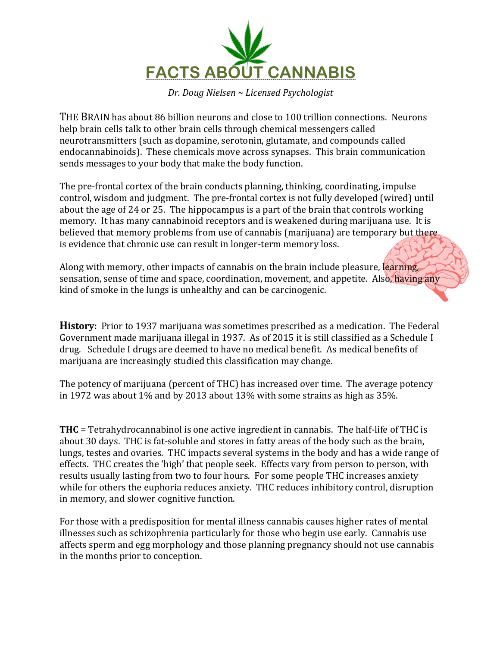

*Dr. Doug Nielsen ~ Licensed Psychologist*

THE BRAIN has about 86 billion neurons and close to 100 trillion connections. Neurons help brain cells talk to other brain cells through chemical messengers called neurotransmitters (such as dopamine, serotonin, glutamate, and compounds called endocannabinoids). These chemicals move across synapses. This brain communication sends messages to your body that make the body function.

The pre-frontal cortex of the brain conducts planning, thinking, coordinating, impulse control, wisdom and judgment. The pre-frontal cortex is not fully developed (wired) until about the age of 24 or 25. The hippocampus is a part of the brain that controls working memory. It has many cannabinoid receptors and is weakened during marijuana use. It is believed that memory problems from use of cannabis (marijuana) are temporary but there is evidence that chronic use can result in longer-term memory loss.

Along with memory, other impacts of cannabis on the brain include pleasure, learning, sensation, sense of time and space, coordination, movement, and appetite. Also, having any kind of smoke in the lungs is unhealthy and can be carcinogenic.

**History:** Prior to 1937 marijuana was sometimes prescribed as a medication. The Federal Government made marijuana illegal in 1937. As of 2015 it is still classified as a Schedule I drug. Schedule I drugs are deemed to have no medical benefit. As medical benefits of marijuana are increasingly studied this classification may change.

The potency of marijuana (percent of THC) has increased over time. The average potency in 1972 was about  $1\%$  and by 2013 about 13% with some strains as high as 35%.

**THC** = Tetrahydrocannabinol is one active ingredient in cannabis. The half-life of THC is about 30 days. THC is fat-soluble and stores in fatty areas of the body such as the brain, lungs, testes and ovaries. THC impacts several systems in the body and has a wide range of effects. THC creates the 'high' that people seek. Effects vary from person to person, with results usually lasting from two to four hours. For some people THC increases anxiety while for others the euphoria reduces anxiety. THC reduces inhibitory control, disruption in memory, and slower cognitive function.

For those with a predisposition for mental illness cannabis causes higher rates of mental illnesses such as schizophrenia particularly for those who begin use early. Cannabis use affects sperm and egg morphology and those planning pregnancy should not use cannabis in the months prior to conception.